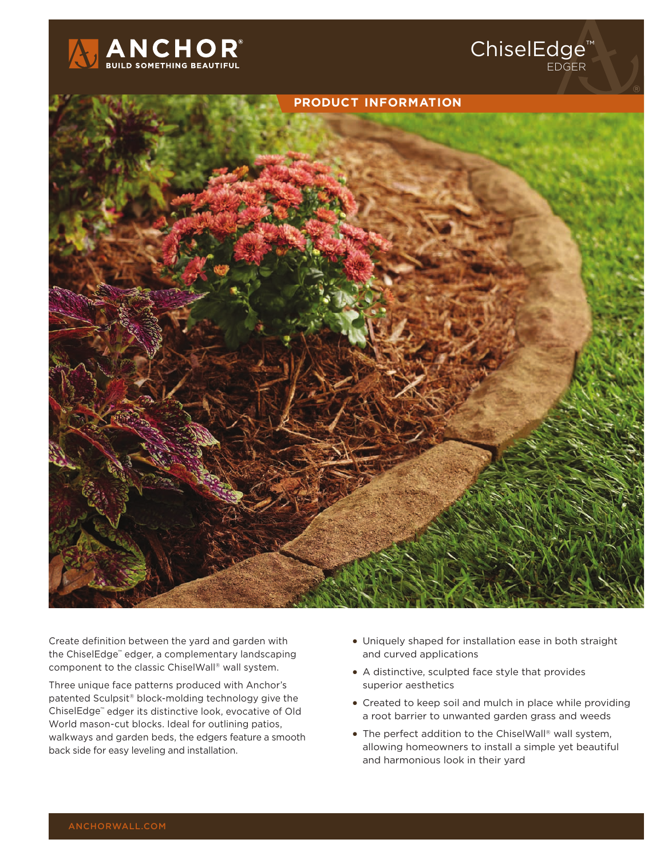



Create definition between the yard and garden with the ChiselEdge™ edger, a complementary landscaping component to the classic ChiselWall® wall system.

Three unique face patterns produced with Anchor's patented Sculpsit® block-molding technology give the ChiselEdge™ edger its distinctive look, evocative of Old World mason-cut blocks. Ideal for outlining patios, walkways and garden beds, the edgers feature a smooth back side for easy leveling and installation.

• Uniquely shaped for installation ease in both straight and curved applications

ChiselEdge™

EDGER

- A distinctive, sculpted face style that provides superior aesthetics
- Created to keep soil and mulch in place while providing a root barrier to unwanted garden grass and weeds
- The perfect addition to the ChiselWall® wall system, allowing homeowners to install a simple yet beautiful and harmonious look in their yard